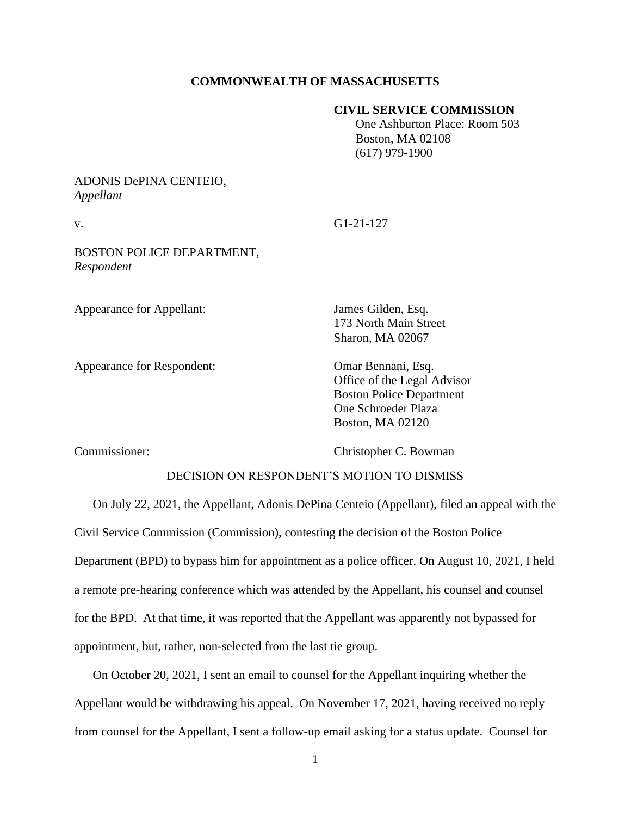## **COMMONWEALTH OF MASSACHUSETTS**

## **CIVIL SERVICE COMMISSION**

 One Ashburton Place: Room 503 Boston, MA 02108 (617) 979-1900

## ADONIS DePINA CENTEIO, *Appellant*

v. G1-21-127

BOSTON POLICE DEPARTMENT, *Respondent*

Appearance for Appellant: James Gilden, Esq.

Appearance for Respondent: Omar Bennani, Esq.

173 North Main Street Sharon, MA 02067

Office of the Legal Advisor Boston Police Department One Schroeder Plaza Boston, MA 02120

Commissioner: Christopher C. Bowman

## DECISION ON RESPONDENT'S MOTION TO DISMISS

On July 22, 2021, the Appellant, Adonis DePina Centeio (Appellant), filed an appeal with the Civil Service Commission (Commission), contesting the decision of the Boston Police Department (BPD) to bypass him for appointment as a police officer. On August 10, 2021, I held a remote pre-hearing conference which was attended by the Appellant, his counsel and counsel for the BPD. At that time, it was reported that the Appellant was apparently not bypassed for appointment, but, rather, non-selected from the last tie group.

On October 20, 2021, I sent an email to counsel for the Appellant inquiring whether the Appellant would be withdrawing his appeal. On November 17, 2021, having received no reply from counsel for the Appellant, I sent a follow-up email asking for a status update. Counsel for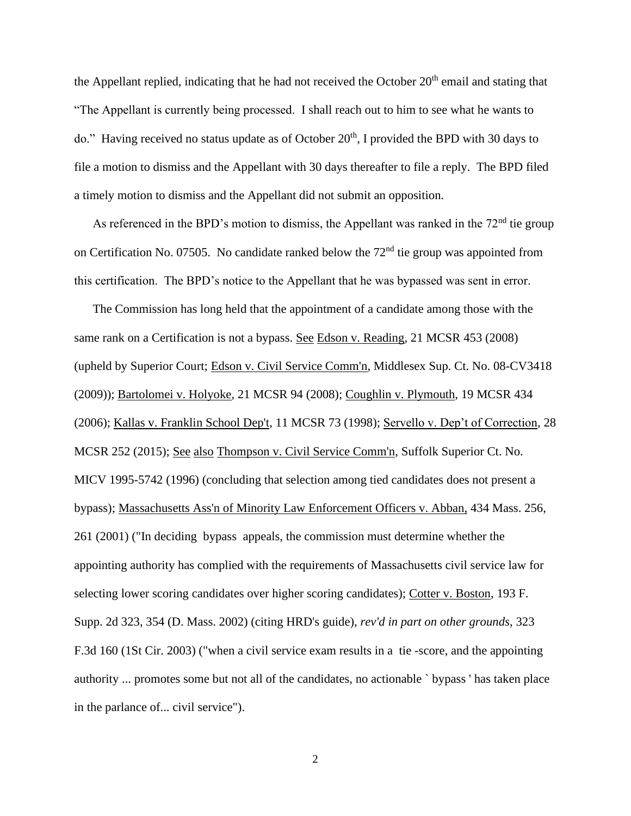the Appellant replied, indicating that he had not received the October  $20<sup>th</sup>$  email and stating that "The Appellant is currently being processed. I shall reach out to him to see what he wants to do." Having received no status update as of October  $20<sup>th</sup>$ , I provided the BPD with 30 days to file a motion to dismiss and the Appellant with 30 days thereafter to file a reply. The BPD filed a timely motion to dismiss and the Appellant did not submit an opposition.

As referenced in the BPD's motion to dismiss, the Appellant was ranked in the  $72<sup>nd</sup>$  tie group on Certification No. 07505. No candidate ranked below the 72<sup>nd</sup> tie group was appointed from this certification. The BPD's notice to the Appellant that he was bypassed was sent in error.

 The Commission has long held that the appointment of a candidate among those with the same rank on a Certification is not a bypass. See Edson v. Reading, 21 MCSR 453 (2008) (upheld by Superior Court; Edson v. Civil Service Comm'n, Middlesex Sup. Ct. No. 08-CV3418 (2009)); Bartolomei v. Holyoke, 21 MCSR 94 (2008); Coughlin v. Plymouth, 19 MCSR 434 (2006); Kallas v. Franklin School Dep't, 11 MCSR 73 (1998); Servello v. Dep't of Correction, 28 MCSR 252 (2015); See also Thompson v. Civil Service Comm'n, Suffolk Superior Ct. No. MICV 1995-5742 (1996) (concluding that selection among tied candidates does not present a bypass); Massachusetts Ass'n of Minority Law Enforcement Officers v. Abban, 434 Mass. 256, 261 (2001) ("In deciding bypass appeals, the commission must determine whether the appointing authority has complied with the requirements of Massachusetts civil service law for selecting lower scoring candidates over higher scoring candidates); Cotter v. Boston, 193 F. Supp. 2d 323, 354 (D. Mass. 2002) (citing HRD's guide), *rev'd in part on other grounds*, 323 F.3d 160 (1St Cir. 2003) ("when a civil service exam results in a tie -score, and the appointing authority ... promotes some but not all of the candidates, no actionable ` bypass ' has taken place in the parlance of... civil service").